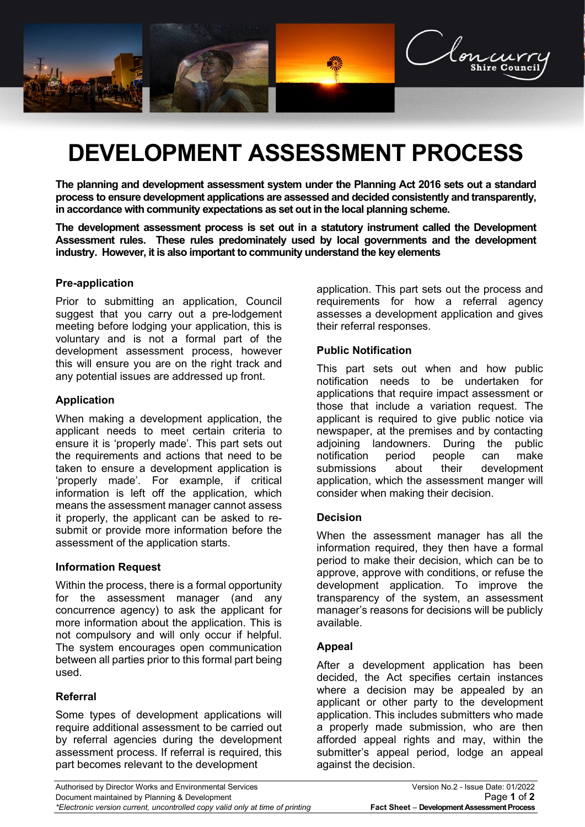

# **DEVELOPMENT ASSESSMENT PROCESS**

**The planning and development assessment system under the Planning Act 2016 sets out a standard process to ensure development applications are assessed and decided consistently and transparently, in accordance with community expectations as set out in the local planning scheme.**

**The development assessment process is set out in a statutory instrument called the Development Assessment rules. These rules predominately used by local governments and the development industry. However, it is also important to community understand the key elements**

## **Pre-application**

Prior to submitting an application, Council suggest that you carry out a pre-lodgement meeting before lodging your application, this is voluntary and is not a formal part of the development assessment process, however this will ensure you are on the right track and any potential issues are addressed up front.

## **Application**

When making a development application, the applicant needs to meet certain criteria to ensure it is 'properly made'. This part sets out the requirements and actions that need to be taken to ensure a development application is 'properly made'. For example, if critical information is left off the application, which means the assessment manager cannot assess it properly, the applicant can be asked to resubmit or provide more information before the assessment of the application starts.

### **Information Request**

Within the process, there is a formal opportunity for the assessment manager (and any concurrence agency) to ask the applicant for more information about the application. This is not compulsory and will only occur if helpful. The system encourages open communication between all parties prior to this formal part being used.

# **Referral**

Some types of development applications will require additional assessment to be carried out by referral agencies during the development assessment process. If referral is required, this part becomes relevant to the development

application. This part sets out the process and requirements for how a referral agency assesses a development application and gives their referral responses.

## **Public Notification**

This part sets out when and how public notification needs to be undertaken for applications that require impact assessment or those that include a variation request. The applicant is required to give public notice via newspaper, at the premises and by contacting adjoining landowners. During the public notification period people can make submissions about their development application, which the assessment manger will consider when making their decision.

### **Decision**

When the assessment manager has all the information required, they then have a formal period to make their decision, which can be to approve, approve with conditions, or refuse the development application. To improve the transparency of the system, an assessment manager's reasons for decisions will be publicly available.

### **Appeal**

After a development application has been decided, the Act specifies certain instances where a decision may be appealed by an applicant or other party to the development application. This includes submitters who made a properly made submission, who are then afforded appeal rights and may, within the submitter's appeal period, lodge an appeal against the decision.